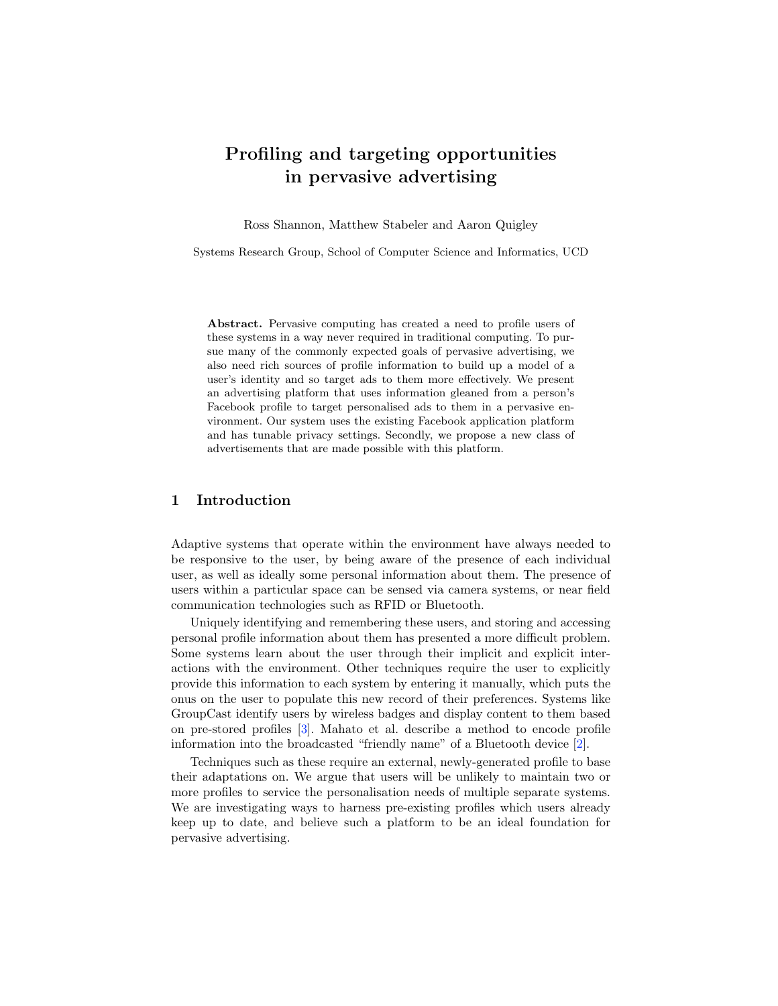# Profiling and targeting opportunities in pervasive advertising

Ross Shannon, Matthew Stabeler and Aaron Quigley

Systems Research Group, School of Computer Science and Informatics, UCD

Abstract. Pervasive computing has created a need to profile users of these systems in a way never required in traditional computing. To pursue many of the commonly expected goals of pervasive advertising, we also need rich sources of profile information to build up a model of a user's identity and so target ads to them more effectively. We present an advertising platform that uses information gleaned from a person's Facebook profile to target personalised ads to them in a pervasive environment. Our system uses the existing Facebook application platform and has tunable privacy settings. Secondly, we propose a new class of advertisements that are made possible with this platform.

### 1 Introduction

Adaptive systems that operate within the environment have always needed to be responsive to the user, by being aware of the presence of each individual user, as well as ideally some personal information about them. The presence of users within a particular space can be sensed via camera systems, or near field communication technologies such as RFID or Bluetooth.

Uniquely identifying and remembering these users, and storing and accessing personal profile information about them has presented a more difficult problem. Some systems learn about the user through their implicit and explicit interactions with the environment. Other techniques require the user to explicitly provide this information to each system by entering it manually, which puts the onus on the user to populate this new record of their preferences. Systems like GroupCast identify users by wireless badges and display content to them based on pre-stored profiles [\[3\]](#page-3-1). Mahato et al. describe a method to encode profile information into the broadcasted "friendly name" of a Bluetooth device [\[2\]](#page-3-0).

Techniques such as these require an external, newly-generated profile to base their adaptations on. We argue that users will be unlikely to maintain two or more profiles to service the personalisation needs of multiple separate systems. We are investigating ways to harness pre-existing profiles which users already keep up to date, and believe such a platform to be an ideal foundation for pervasive advertising.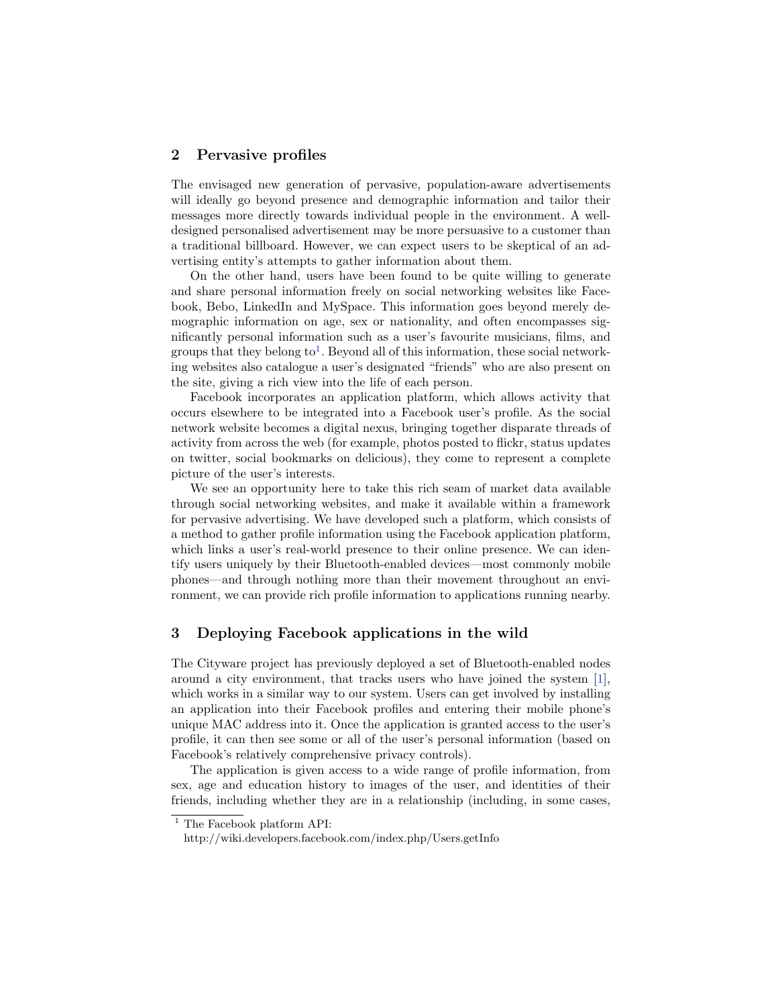#### 2 Pervasive profiles

The envisaged new generation of pervasive, population-aware advertisements will ideally go beyond presence and demographic information and tailor their messages more directly towards individual people in the environment. A welldesigned personalised advertisement may be more persuasive to a customer than a traditional billboard. However, we can expect users to be skeptical of an advertising entity's attempts to gather information about them.

On the other hand, users have been found to be quite willing to generate and share personal information freely on social networking websites like Facebook, Bebo, LinkedIn and MySpace. This information goes beyond merely demographic information on age, sex or nationality, and often encompasses significantly personal information such as a user's favourite musicians, films, and groups that they belong to<sup>[1](#page-1-0)</sup>. Beyond all of this information, these social networking websites also catalogue a user's designated "friends" who are also present on the site, giving a rich view into the life of each person.

Facebook incorporates an application platform, which allows activity that occurs elsewhere to be integrated into a Facebook user's profile. As the social network website becomes a digital nexus, bringing together disparate threads of activity from across the web (for example, photos posted to flickr, status updates on twitter, social bookmarks on delicious), they come to represent a complete picture of the user's interests.

We see an opportunity here to take this rich seam of market data available through social networking websites, and make it available within a framework for pervasive advertising. We have developed such a platform, which consists of a method to gather profile information using the Facebook application platform, which links a user's real-world presence to their online presence. We can identify users uniquely by their Bluetooth-enabled devices—most commonly mobile phones—and through nothing more than their movement throughout an environment, we can provide rich profile information to applications running nearby.

# 3 Deploying Facebook applications in the wild

The Cityware project has previously deployed a set of Bluetooth-enabled nodes around a city environment, that tracks users who have joined the system [\[1\]](#page-3-2), which works in a similar way to our system. Users can get involved by installing an application into their Facebook profiles and entering their mobile phone's unique MAC address into it. Once the application is granted access to the user's profile, it can then see some or all of the user's personal information (based on Facebook's relatively comprehensive privacy controls).

The application is given access to a wide range of profile information, from sex, age and education history to images of the user, and identities of their friends, including whether they are in a relationship (including, in some cases,

<span id="page-1-0"></span> $1$  The Facebook platform API:

http://wiki.developers.facebook.com/index.php/Users.getInfo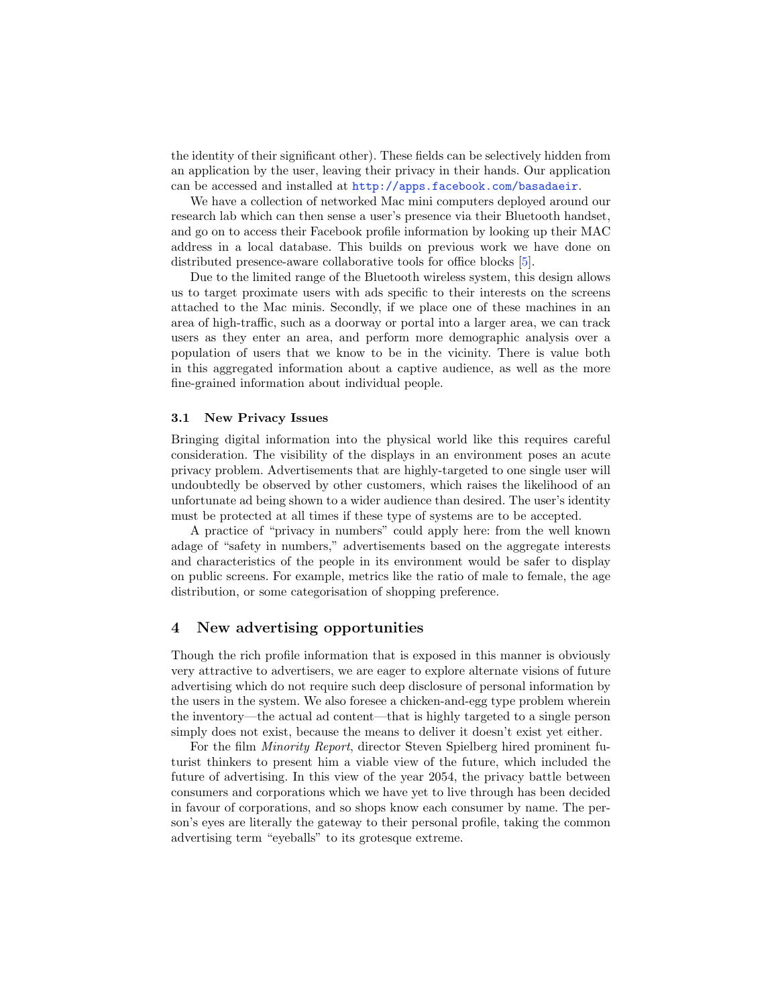the identity of their significant other). These fields can be selectively hidden from an application by the user, leaving their privacy in their hands. Our application can be accessed and installed at <http://apps.facebook.com/basadaeir>.

We have a collection of networked Mac mini computers deployed around our research lab which can then sense a user's presence via their Bluetooth handset, and go on to access their Facebook profile information by looking up their MAC address in a local database. This builds on previous work we have done on distributed presence-aware collaborative tools for office blocks [\[5\]](#page-3-3).

Due to the limited range of the Bluetooth wireless system, this design allows us to target proximate users with ads specific to their interests on the screens attached to the Mac minis. Secondly, if we place one of these machines in an area of high-traffic, such as a doorway or portal into a larger area, we can track users as they enter an area, and perform more demographic analysis over a population of users that we know to be in the vicinity. There is value both in this aggregated information about a captive audience, as well as the more fine-grained information about individual people.

#### 3.1 New Privacy Issues

Bringing digital information into the physical world like this requires careful consideration. The visibility of the displays in an environment poses an acute privacy problem. Advertisements that are highly-targeted to one single user will undoubtedly be observed by other customers, which raises the likelihood of an unfortunate ad being shown to a wider audience than desired. The user's identity must be protected at all times if these type of systems are to be accepted.

A practice of "privacy in numbers" could apply here: from the well known adage of "safety in numbers," advertisements based on the aggregate interests and characteristics of the people in its environment would be safer to display on public screens. For example, metrics like the ratio of male to female, the age distribution, or some categorisation of shopping preference.

#### 4 New advertising opportunities

Though the rich profile information that is exposed in this manner is obviously very attractive to advertisers, we are eager to explore alternate visions of future advertising which do not require such deep disclosure of personal information by the users in the system. We also foresee a chicken-and-egg type problem wherein the inventory—the actual ad content—that is highly targeted to a single person simply does not exist, because the means to deliver it doesn't exist yet either.

For the film *Minority Report*, director Steven Spielberg hired prominent futurist thinkers to present him a viable view of the future, which included the future of advertising. In this view of the year 2054, the privacy battle between consumers and corporations which we have yet to live through has been decided in favour of corporations, and so shops know each consumer by name. The person's eyes are literally the gateway to their personal profile, taking the common advertising term "eyeballs" to its grotesque extreme.